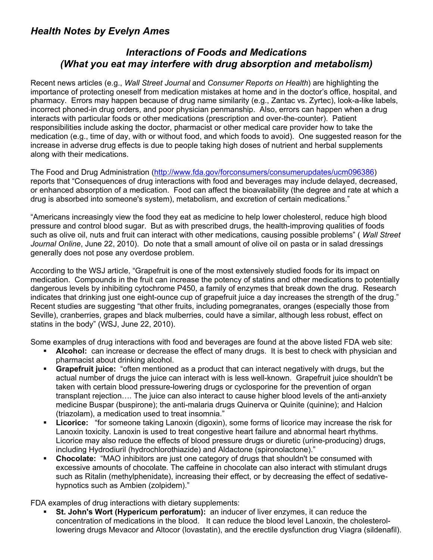## *Health Notes by Evelyn Ames*

## *Interactions of Foods and Medications (What you eat may interfere with drug absorption and metabolism)*

Recent news articles (e.g., *Wall Street Journal* and *Consumer Reports on Health*) are highlighting the importance of protecting oneself from medication mistakes at home and in the doctor's office, hospital, and pharmacy. Errors may happen because of drug name similarity (e.g., Zantac vs. Zyrtec), look-a-like labels, incorrect phoned-in drug orders, and poor physician penmanship. Also, errors can happen when a drug interacts with particular foods or other medications (prescription and over-the-counter). Patient responsibilities include asking the doctor, pharmacist or other medical care provider how to take the medication (e.g., time of day, with or without food, and which foods to avoid). One suggested reason for the increase in adverse drug effects is due to people taking high doses of nutrient and herbal supplements along with their medications.

The Food and Drug Administration (http://www.fda.gov/forconsumers/consumerupdates/ucm096386) reports that "Consequences of drug interactions with food and beverages may include delayed, decreased, or enhanced absorption of a medication. Food can affect the bioavailability (the degree and rate at which a drug is absorbed into someone's system), metabolism, and excretion of certain medications."

"Americans increasingly view the food they eat as medicine to help lower cholesterol, reduce high blood pressure and control blood sugar. But as with prescribed drugs, the health-improving qualities of foods such as olive oil, nuts and fruit can interact with other medications, causing possible problems" ( *Wall Street Journal Online*, June 22, 2010). Do note that a small amount of olive oil on pasta or in salad dressings generally does not pose any overdose problem.

According to the WSJ article, "Grapefruit is one of the most extensively studied foods for its impact on medication. Compounds in the fruit can increase the potency of statins and other medications to potentially dangerous levels by inhibiting cytochrome P450, a family of enzymes that break down the drug. Research indicates that drinking just one eight-ounce cup of grapefruit juice a day increases the strength of the drug." Recent studies are suggesting "that other fruits, including pomegranates, oranges (especially those from Seville), cranberries, grapes and black mulberries, could have a similar, although less robust, effect on statins in the body" (WSJ, June 22, 2010).

Some examples of drug interactions with food and beverages are found at the above listed FDA web site:

- **Alcohol:** can increase or decrease the effect of many drugs. It is best to check with physician and pharmacist about drinking alcohol.
- **Grapefruit juice:** "often mentioned as a product that can interact negatively with drugs, but the actual number of drugs the juice can interact with is less well-known. Grapefruit juice shouldn't be taken with certain blood pressure-lowering drugs or cyclosporine for the prevention of organ transplant rejection…. The juice can also interact to cause higher blood levels of the anti-anxiety medicine Buspar (buspirone); the anti-malaria drugs Quinerva or Quinite (quinine); and Halcion (triazolam), a medication used to treat insomnia."
- **Licorice:** "for someone taking Lanoxin (digoxin), some forms of licorice may increase the risk for Lanoxin toxicity. Lanoxin is used to treat congestive heart failure and abnormal heart rhythms. Licorice may also reduce the effects of blood pressure drugs or diuretic (urine-producing) drugs, including Hydrodiuril (hydrochlorothiazide) and Aldactone (spironolactone)."
- **Chocolate:** "MAO inhibitors are just one category of drugs that shouldn't be consumed with excessive amounts of chocolate. The caffeine in chocolate can also interact with stimulant drugs such as Ritalin (methylphenidate), increasing their effect, or by decreasing the effect of sedativehypnotics such as Ambien (zolpidem)."

FDA examples of drug interactions with dietary supplements:

 **St. John's Wort (Hypericum perforatum):** an inducer of liver enzymes, it can reduce the concentration of medications in the blood. It can reduce the blood level Lanoxin, the cholesterollowering drugs Mevacor and Altocor (lovastatin), and the erectile dysfunction drug Viagra (sildenafil).